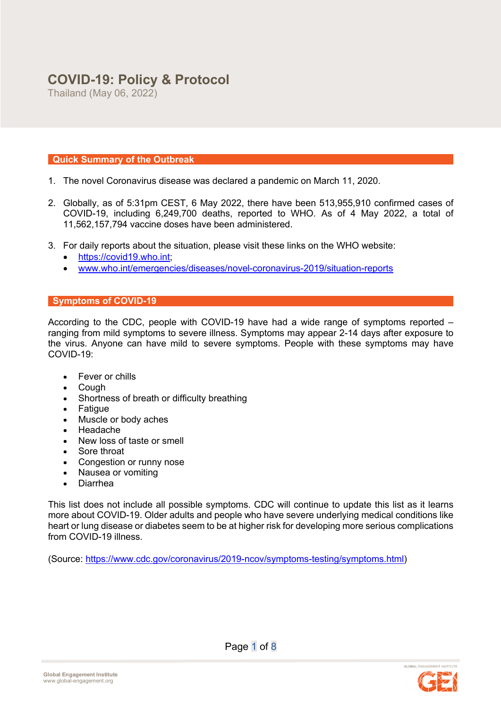# **COVID-19: Policy & Protocol**

Thailand (May 06, 2022)

# **Quick Summary of the Outbreak**

- 1. The novel Coronavirus disease was declared a pandemic on March 11, 2020.
- 2. Globally, as of 5:31pm CEST, 6 May 2022, there have been 513,955,910 confirmed cases of COVID-19, including 6,249,700 deaths, reported to WHO. As of 4 May 2022, a total of 11,562,157,794 vaccine doses have been administered.
- 3. For daily reports about the situation, please visit these links on the WHO website:
	- https://covid19.who.int;
	- www.who.int/emergencies/diseases/novel-coronavirus-2019/situation-reports

# **Symptoms of COVID-19**

According to the CDC, people with COVID-19 have had a wide range of symptoms reported – ranging from mild symptoms to severe illness. Symptoms may appear 2-14 days after exposure to the virus. Anyone can have mild to severe symptoms. People with these symptoms may have COVID-19:

- Fever or chills
- Cough
- Shortness of breath or difficulty breathing
- Fatigue
- Muscle or body aches
- Headache
- New loss of taste or smell
- Sore throat
- Congestion or runny nose
- Nausea or vomiting
- Diarrhea

This list does not include all possible symptoms. CDC will continue to update this list as it learns more about COVID-19. Older adults and people who have severe underlying medical conditions like heart or lung disease or diabetes seem to be at higher risk for developing more serious complications from COVID-19 illness.

(Source: https://www.cdc.gov/coronavirus/2019-ncov/symptoms-testing/symptoms.html)

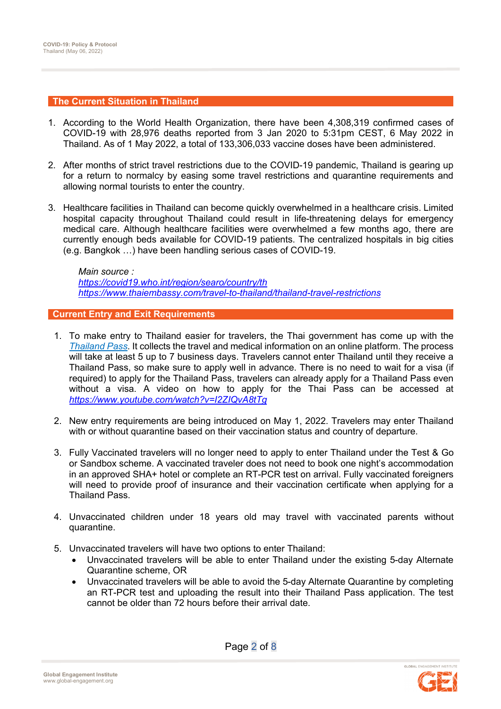### **The Current Situation in Thailand**

- 1. According to the World Health Organization, there have been 4,308,319 confirmed cases of COVID-19 with 28,976 deaths reported from 3 Jan 2020 to 5:31pm CEST, 6 May 2022 in Thailand. As of 1 May 2022, a total of 133,306,033 vaccine doses have been administered.
- 2. After months of strict travel restrictions due to the COVID-19 pandemic, Thailand is gearing up for a return to normalcy by easing some travel restrictions and quarantine requirements and allowing normal tourists to enter the country.
- 3. Healthcare facilities in Thailand can become quickly overwhelmed in a healthcare crisis. Limited hospital capacity throughout Thailand could result in life-threatening delays for emergency medical care. Although healthcare facilities were overwhelmed a few months ago, there are currently enough beds available for COVID-19 patients. The centralized hospitals in big cities (e.g. Bangkok …) have been handling serious cases of COVID-19.

*Main source : https://covid19.who.int/region/searo/country/th https://www.thaiembassy.com/travel-to-thailand/thailand-travel-restrictions*

## **Current Entry and Exit Requirements**

- 1. To make entry to Thailand easier for travelers, the Thai government has come up with the *Thailand Pass*. It collects the travel and medical information on an online platform. The process will take at least 5 up to 7 business days. Travelers cannot enter Thailand until they receive a Thailand Pass, so make sure to apply well in advance. There is no need to wait for a visa (if required) to apply for the Thailand Pass, travelers can already apply for a Thailand Pass even without a visa. A video on how to apply for the Thai Pass can be accessed at *https://www.youtube.com/watch?v=I2ZIQvA8tTg*
- 2. New entry requirements are being introduced on May 1, 2022. Travelers may enter Thailand with or without quarantine based on their vaccination status and country of departure.
- 3. Fully Vaccinated travelers will no longer need to apply to enter Thailand under the Test & Go or Sandbox scheme. A vaccinated traveler does not need to book one night's accommodation in an approved SHA+ hotel or complete an RT-PCR test on arrival. Fully vaccinated foreigners will need to provide proof of insurance and their vaccination certificate when applying for a Thailand Pass.
- 4. Unvaccinated children under 18 years old may travel with vaccinated parents without quarantine.
- 5. Unvaccinated travelers will have two options to enter Thailand:
	- Unvaccinated travelers will be able to enter Thailand under the existing 5-day Alternate Quarantine scheme, OR
	- Unvaccinated travelers will be able to avoid the 5-day Alternate Quarantine by completing an RT-PCR test and uploading the result into their Thailand Pass application. The test cannot be older than 72 hours before their arrival date.

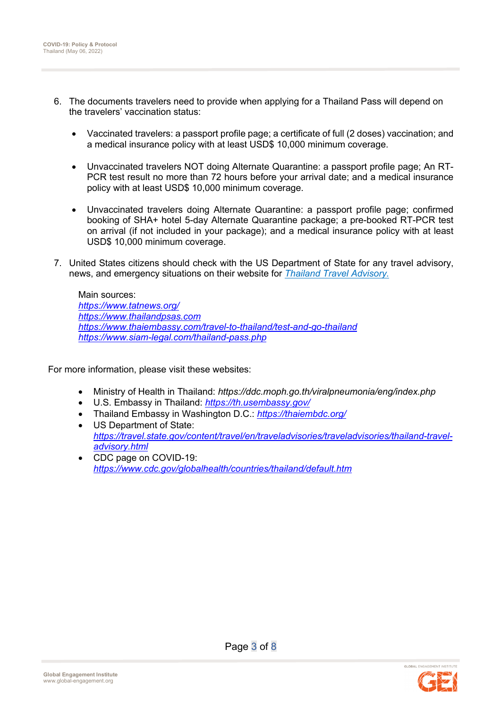- 6. The documents travelers need to provide when applying for a Thailand Pass will depend on the travelers' vaccination status:
	- Vaccinated travelers: a passport profile page; a certificate of full (2 doses) vaccination; and a medical insurance policy with at least USD\$ 10,000 minimum coverage.
	- Unvaccinated travelers NOT doing Alternate Quarantine: a passport profile page; An RT-PCR test result no more than 72 hours before your arrival date; and a medical insurance policy with at least USD\$ 10,000 minimum coverage.
	- Unvaccinated travelers doing Alternate Quarantine: a passport profile page; confirmed booking of SHA+ hotel 5-day Alternate Quarantine package; a pre-booked RT-PCR test on arrival (if not included in your package); and a medical insurance policy with at least USD\$ 10,000 minimum coverage.
- 7. United States citizens should check with the US Department of State for any travel advisory, news, and emergency situations on their website for *Thailand Travel Advisory.*

Main sources: *https://www.tatnews.org/ https://www.thailandpsas.com https://www.thaiembassy.com/travel-to-thailand/test-and-go-thailand https://www.siam-legal.com/thailand-pass.php*

For more information, please visit these websites:

- Ministry of Health in Thailand: *https://ddc.moph.go.th/viralpneumonia/eng/index.php*
- U.S. Embassy in Thailand: *https://th.usembassy.gov/*
- Thailand Embassy in Washington D.C.: *https://thaiembdc.org/*
- US Department of State: *https://travel.state.gov/content/travel/en/traveladvisories/traveladvisories/thailand-traveladvisory.html*
- CDC page on COVID-19: *https://www.cdc.gov/globalhealth/countries/thailand/default.htm*

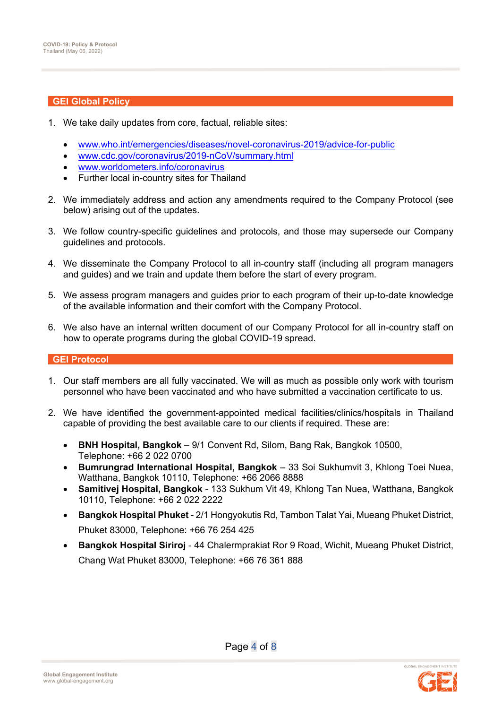## **GEI Global Policy**

- 1. We take daily updates from core, factual, reliable sites:
	- www.who.int/emergencies/diseases/novel-coronavirus-2019/advice-for-public
	- www.cdc.gov/coronavirus/2019-nCoV/summary.html
	- www.worldometers.info/coronavirus
	- Further local in-country sites for Thailand
- 2. We immediately address and action any amendments required to the Company Protocol (see below) arising out of the updates.
- 3. We follow country-specific guidelines and protocols, and those may supersede our Company guidelines and protocols.
- 4. We disseminate the Company Protocol to all in-country staff (including all program managers and guides) and we train and update them before the start of every program.
- 5. We assess program managers and guides prior to each program of their up-to-date knowledge of the available information and their comfort with the Company Protocol.
- 6. We also have an internal written document of our Company Protocol for all in-country staff on how to operate programs during the global COVID-19 spread.

## **GEI Protocol**

- 1. Our staff members are all fully vaccinated. We will as much as possible only work with tourism personnel who have been vaccinated and who have submitted a vaccination certificate to us.
- 2. We have identified the government-appointed medical facilities/clinics/hospitals in Thailand capable of providing the best available care to our clients if required. These are:
	- **BNH Hospital, Bangkok** 9/1 Convent Rd, Silom, Bang Rak, Bangkok 10500, Telephone: +66 2 022 0700
	- **Bumrungrad International Hospital, Bangkok** 33 Soi Sukhumvit 3, Khlong Toei Nuea, Watthana, Bangkok 10110, Telephone: +66 2066 8888
	- **Samitivej Hospital, Bangkok** 133 Sukhum Vit 49, Khlong Tan Nuea, Watthana, Bangkok 10110, Telephone: +66 2 022 2222
	- **Bangkok Hospital Phuket** 2/1 Hongyokutis Rd, Tambon Talat Yai, Mueang Phuket District, Phuket 83000, Telephone: +66 76 254 425
	- **Bangkok Hospital Siriroj** 44 Chalermprakiat Ror 9 Road, Wichit, Mueang Phuket District, Chang Wat Phuket 83000, Telephone: +66 76 361 888

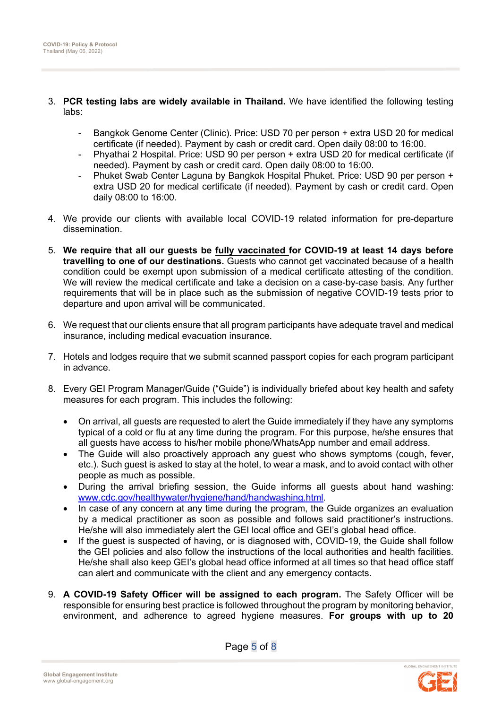- 3. **PCR testing labs are widely available in Thailand.** We have identified the following testing labs:
	- Bangkok Genome Center (Clinic). Price: USD 70 per person + extra USD 20 for medical certificate (if needed). Payment by cash or credit card. Open daily 08:00 to 16:00.
	- Phyathai 2 Hospital. Price: USD 90 per person + extra USD 20 for medical certificate (if needed). Payment by cash or credit card. Open daily 08:00 to 16:00.
	- Phuket Swab Center Laguna by Bangkok Hospital Phuket. Price: USD 90 per person + extra USD 20 for medical certificate (if needed). Payment by cash or credit card. Open daily 08:00 to 16:00.
- 4. We provide our clients with available local COVID-19 related information for pre-departure dissemination.
- 5. **We require that all our guests be fully vaccinated for COVID-19 at least 14 days before travelling to one of our destinations.** Guests who cannot get vaccinated because of a health condition could be exempt upon submission of a medical certificate attesting of the condition. We will review the medical certificate and take a decision on a case-by-case basis. Any further requirements that will be in place such as the submission of negative COVID-19 tests prior to departure and upon arrival will be communicated.
- 6. We request that our clients ensure that all program participants have adequate travel and medical insurance, including medical evacuation insurance.
- 7. Hotels and lodges require that we submit scanned passport copies for each program participant in advance.
- 8. Every GEI Program Manager/Guide ("Guide") is individually briefed about key health and safety measures for each program. This includes the following:
	- On arrival, all guests are requested to alert the Guide immediately if they have any symptoms typical of a cold or flu at any time during the program. For this purpose, he/she ensures that all guests have access to his/her mobile phone/WhatsApp number and email address.
	- The Guide will also proactively approach any guest who shows symptoms (cough, fever, etc.). Such guest is asked to stay at the hotel, to wear a mask, and to avoid contact with other people as much as possible.
	- During the arrival briefing session, the Guide informs all guests about hand washing: www.cdc.gov/healthywater/hygiene/hand/handwashing.html.
	- In case of any concern at any time during the program, the Guide organizes an evaluation by a medical practitioner as soon as possible and follows said practitioner's instructions. He/she will also immediately alert the GEI local office and GEI's global head office.
	- If the quest is suspected of having, or is diagnosed with, COVID-19, the Guide shall follow the GEI policies and also follow the instructions of the local authorities and health facilities. He/she shall also keep GEI's global head office informed at all times so that head office staff can alert and communicate with the client and any emergency contacts.
- 9. **A COVID-19 Safety Officer will be assigned to each program.** The Safety Officer will be responsible for ensuring best practice is followed throughout the program by monitoring behavior, environment, and adherence to agreed hygiene measures. **For groups with up to 20**

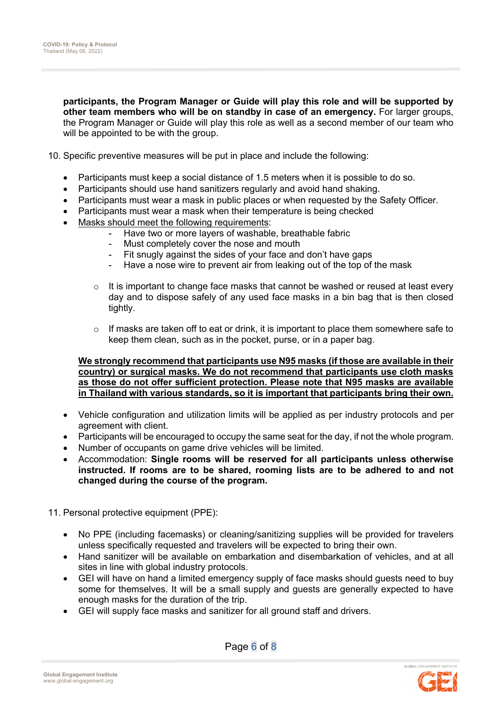**participants, the Program Manager or Guide will play this role and will be supported by other team members who will be on standby in case of an emergency.** For larger groups, the Program Manager or Guide will play this role as well as a second member of our team who will be appointed to be with the group.

10. Specific preventive measures will be put in place and include the following:

- Participants must keep a social distance of 1.5 meters when it is possible to do so.
- Participants should use hand sanitizers regularly and avoid hand shaking.
- Participants must wear a mask in public places or when requested by the Safety Officer.
- Participants must wear a mask when their temperature is being checked
- Masks should meet the following requirements:
	- Have two or more layers of washable, breathable fabric
		- Must completely cover the nose and mouth
		- Fit snugly against the sides of your face and don't have gaps
		- Have a nose wire to prevent air from leaking out of the top of the mask
	- o It is important to change face masks that cannot be washed or reused at least every day and to dispose safely of any used face masks in a bin bag that is then closed tightly.
	- $\circ$  If masks are taken off to eat or drink, it is important to place them somewhere safe to keep them clean, such as in the pocket, purse, or in a paper bag.

### **We strongly recommend that participants use N95 masks (if those are available in their country) or surgical masks. We do not recommend that participants use cloth masks as those do not offer sufficient protection. Please note that N95 masks are available in Thailand with various standards, so it is important that participants bring their own.**

- Vehicle configuration and utilization limits will be applied as per industry protocols and per agreement with client.
- Participants will be encouraged to occupy the same seat for the day, if not the whole program.
- Number of occupants on game drive vehicles will be limited.
- Accommodation: **Single rooms will be reserved for all participants unless otherwise instructed. If rooms are to be shared, rooming lists are to be adhered to and not changed during the course of the program.**
- 11. Personal protective equipment (PPE):
	- No PPE (including facemasks) or cleaning/sanitizing supplies will be provided for travelers unless specifically requested and travelers will be expected to bring their own.
	- Hand sanitizer will be available on embarkation and disembarkation of vehicles, and at all sites in line with global industry protocols.
	- GEI will have on hand a limited emergency supply of face masks should guests need to buy some for themselves. It will be a small supply and guests are generally expected to have enough masks for the duration of the trip.
	- GEI will supply face masks and sanitizer for all ground staff and drivers.

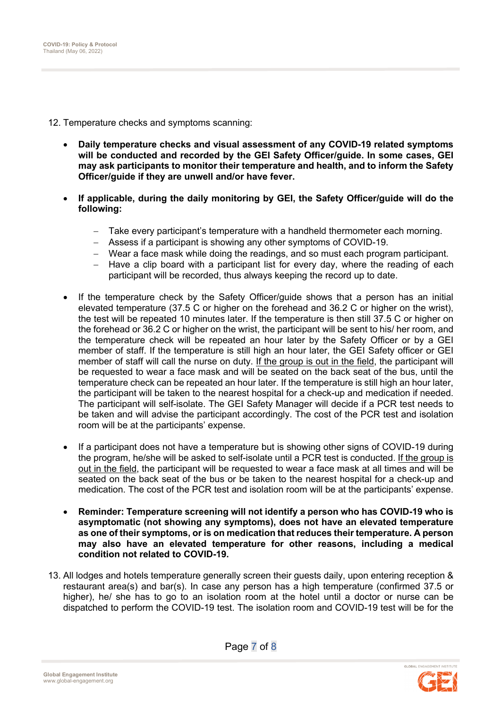12. Temperature checks and symptoms scanning:

- **Daily temperature checks and visual assessment of any COVID-19 related symptoms will be conducted and recorded by the GEI Safety Officer/guide. In some cases, GEI may ask participants to monitor their temperature and health, and to inform the Safety Officer/guide if they are unwell and/or have fever.**
- **If applicable, during the daily monitoring by GEI, the Safety Officer/guide will do the following:**
	- Take every participant's temperature with a handheld thermometer each morning.
	- Assess if a participant is showing any other symptoms of COVID-19.
	- Wear a face mask while doing the readings, and so must each program participant.
	- $-$  Have a clip board with a participant list for every day, where the reading of each participant will be recorded, thus always keeping the record up to date.
- If the temperature check by the Safety Officer/guide shows that a person has an initial elevated temperature (37.5 C or higher on the forehead and 36.2 C or higher on the wrist), the test will be repeated 10 minutes later. If the temperature is then still 37.5 C or higher on the forehead or 36.2 C or higher on the wrist, the participant will be sent to his/ her room, and the temperature check will be repeated an hour later by the Safety Officer or by a GEI member of staff. If the temperature is still high an hour later, the GEI Safety officer or GEI member of staff will call the nurse on duty. If the group is out in the field, the participant will be requested to wear a face mask and will be seated on the back seat of the bus, until the temperature check can be repeated an hour later. If the temperature is still high an hour later, the participant will be taken to the nearest hospital for a check-up and medication if needed. The participant will self-isolate. The GEI Safety Manager will decide if a PCR test needs to be taken and will advise the participant accordingly. The cost of the PCR test and isolation room will be at the participants' expense.
- If a participant does not have a temperature but is showing other signs of COVID-19 during the program, he/she will be asked to self-isolate until a PCR test is conducted. If the group is out in the field, the participant will be requested to wear a face mask at all times and will be seated on the back seat of the bus or be taken to the nearest hospital for a check-up and medication. The cost of the PCR test and isolation room will be at the participants' expense.
- **Reminder: Temperature screening will not identify a person who has COVID-19 who is asymptomatic (not showing any symptoms), does not have an elevated temperature as one of their symptoms, or is on medication that reduces their temperature. A person may also have an elevated temperature for other reasons, including a medical condition not related to COVID-19.**
- 13. All lodges and hotels temperature generally screen their guests daily, upon entering reception & restaurant area(s) and bar(s). In case any person has a high temperature (confirmed 37.5 or higher), he/ she has to go to an isolation room at the hotel until a doctor or nurse can be dispatched to perform the COVID-19 test. The isolation room and COVID-19 test will be for the